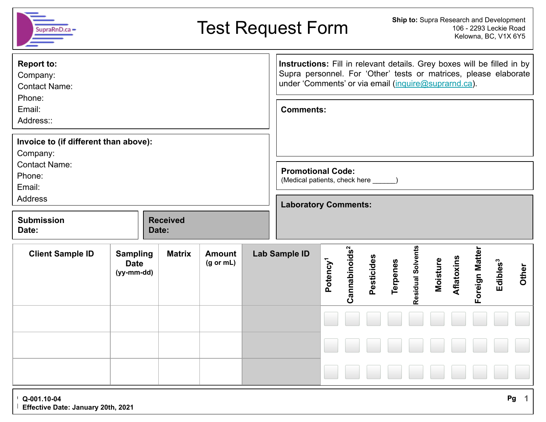| SupraRnD.ca                                                               | Ship to: Supra Research and Development<br><b>Test Request Form</b><br>106 - 2293 Leckie Road<br>Kelowna, BC, V1X 6Y5                                                                               |       |                 |                                       |                             |                      |                          |            |          |                   |          |            |                                        |                      |              |
|---------------------------------------------------------------------------|-----------------------------------------------------------------------------------------------------------------------------------------------------------------------------------------------------|-------|-----------------|---------------------------------------|-----------------------------|----------------------|--------------------------|------------|----------|-------------------|----------|------------|----------------------------------------|----------------------|--------------|
| <b>Report to:</b><br>Company:<br><b>Contact Name:</b><br>Phone:           | Instructions: Fill in relevant details. Grey boxes will be filled in by<br>Supra personnel. For 'Other' tests or matrices, please elaborate<br>under 'Comments' or via email (inquire@suprarnd.ca). |       |                 |                                       |                             |                      |                          |            |          |                   |          |            |                                        |                      |              |
| Email:<br>Address::                                                       | <b>Comments:</b>                                                                                                                                                                                    |       |                 |                                       |                             |                      |                          |            |          |                   |          |            |                                        |                      |              |
| Invoice to (if different than above):<br>Company:<br><b>Contact Name:</b> |                                                                                                                                                                                                     |       |                 |                                       |                             |                      |                          |            |          |                   |          |            |                                        |                      |              |
| Phone:<br>Email:                                                          | <b>Promotional Code:</b><br>(Medical patients, check here ______)                                                                                                                                   |       |                 |                                       |                             |                      |                          |            |          |                   |          |            |                                        |                      |              |
| <b>Address</b>                                                            |                                                                                                                                                                                                     |       |                 |                                       | <b>Laboratory Comments:</b> |                      |                          |            |          |                   |          |            |                                        |                      |              |
| <b>Submission</b><br>Date:                                                |                                                                                                                                                                                                     | Date: | <b>Received</b> |                                       |                             |                      |                          |            |          |                   |          |            |                                        |                      |              |
| <b>Client Sample ID</b>                                                   | <b>Sampling</b><br><b>Date</b><br>$(yy-mm-dd)$                                                                                                                                                      |       | <b>Matrix</b>   | <b>Amount</b><br>$(g \text{ or } mL)$ | <b>Lab Sample ID</b>        | Potency <sup>1</sup> | $\mathtt{Camabinoids}^2$ | Pesticides | Terpenes | Residual Solvents | Moisture | Aflatoxins | Foreign Matter                         | Edibles <sup>3</sup> | Other        |
|                                                                           |                                                                                                                                                                                                     |       |                 |                                       |                             |                      |                          |            |          |                   |          |            | <u>La la la la la la la la la la l</u> |                      |              |
|                                                                           |                                                                                                                                                                                                     |       |                 |                                       |                             |                      |                          |            |          | e e e             |          |            |                                        |                      |              |
|                                                                           |                                                                                                                                                                                                     |       |                 |                                       |                             |                      |                          |            |          |                   |          |            |                                        |                      | $\mathbf{A}$ |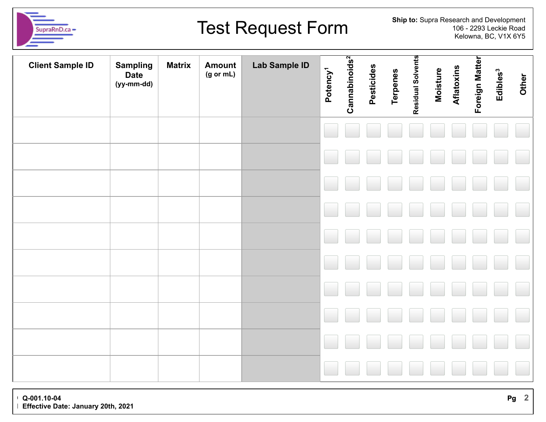

## Test Request Form

**Ship to:** Supra Research and Development 106 - 2293 Leckie Road Kelowna, BC, V1X 6Y5

| <b>Client Sample ID</b> | <b>Sampling</b><br><b>Date</b><br>(yy-mm-dd) | <b>Matrix</b> | <b>Amount</b><br>(g or mL) | <b>Lab Sample ID</b> | Potency <sup>1</sup> | Cannabinoids <sup>2</sup> | Pesticides | <b>Terpenes</b> | Residual Solvents | <b>Moisture</b> | Aflatoxins | Foreign Matter | Edibles <sup>3</sup> | Other |
|-------------------------|----------------------------------------------|---------------|----------------------------|----------------------|----------------------|---------------------------|------------|-----------------|-------------------|-----------------|------------|----------------|----------------------|-------|
|                         |                                              |               |                            |                      |                      |                           |            |                 |                   |                 |            |                |                      |       |
|                         |                                              |               |                            |                      |                      |                           |            |                 |                   |                 |            |                |                      |       |
|                         |                                              |               |                            |                      |                      |                           |            |                 |                   |                 |            |                |                      |       |
|                         |                                              |               |                            |                      |                      |                           |            |                 |                   |                 |            |                |                      |       |
|                         |                                              |               |                            |                      |                      |                           |            |                 |                   |                 |            |                |                      |       |
|                         |                                              |               |                            |                      |                      |                           |            |                 |                   |                 |            |                |                      |       |
|                         |                                              |               |                            |                      |                      |                           |            |                 |                   |                 |            |                |                      |       |
|                         |                                              |               |                            |                      |                      |                           |            |                 |                   |                 |            |                |                      |       |
|                         |                                              |               |                            |                      |                      |                           |            |                 |                   |                 |            |                |                      |       |
|                         |                                              |               |                            |                      |                      |                           |            |                 |                   |                 |            |                |                      |       |